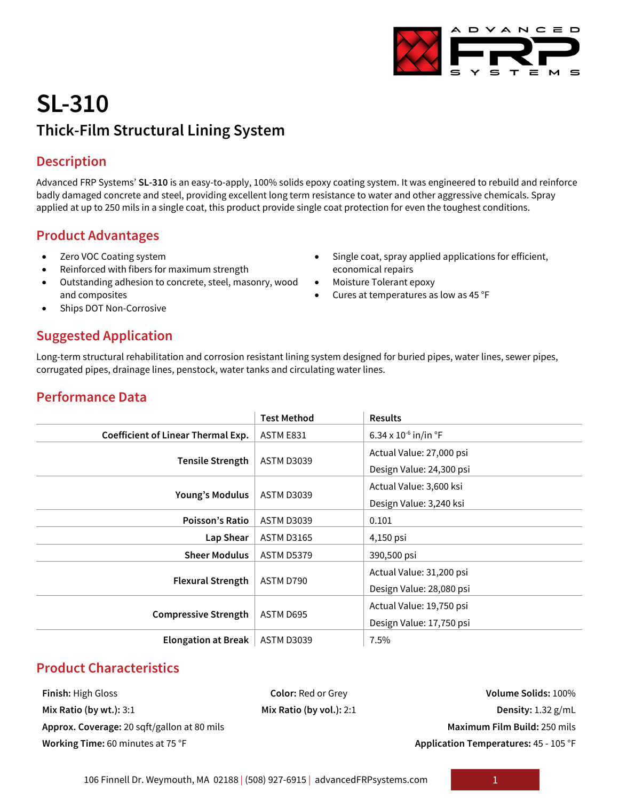Single coat, spray applied applications for efficient,

• Cures at temperatures as low as 45 °F

economical repairs • Moisture Tolerant epoxy

# **SL-310 Thick-Film Structural Lining System**

## **Description**

Advanced FRP Systems' **SL-310** is an easy-to-apply, 100% solids epoxy coating system. It was engineered to rebuild and reinforce badly damaged concrete and steel, providing excellent long term resistance to water and other aggressive chemicals. Spray applied at up to 250 mils in a single coat, this product provide single coat protection for even the toughest conditions.

### **Product Advantages**

- Zero VOC Coating system
- Reinforced with fibers for maximum strength
- Outstanding adhesion to concrete, steel, masonry, wood and composites
- Ships DOT Non-Corrosive

## **Suggested Application**

Long-term structural rehabilitation and corrosion resistant lining system designed for buried pipes, water lines, sewer pipes, corrugated pipes, drainage lines, penstock, water tanks and circulating water lines.

| <b>Performance Data</b> |
|-------------------------|
|-------------------------|

|                                    | <b>Test Method</b> | <b>Results</b>                     |  |
|------------------------------------|--------------------|------------------------------------|--|
| Coefficient of Linear Thermal Exp. | ASTM E831          | 6.34 x $10^{-6}$ in/in $\degree$ F |  |
|                                    | <b>ASTM D3039</b>  | Actual Value: 27,000 psi           |  |
| <b>Tensile Strength</b>            |                    | Design Value: 24,300 psi           |  |
|                                    | <b>ASTM D3039</b>  | Actual Value: 3,600 ksi            |  |
| Young's Modulus                    |                    | Design Value: 3,240 ksi            |  |
| <b>Poisson's Ratio</b>             | <b>ASTM D3039</b>  | 0.101                              |  |
| Lap Shear                          | <b>ASTM D3165</b>  | 4,150 psi                          |  |
| <b>Sheer Modulus</b>               | <b>ASTM D5379</b>  | 390,500 psi                        |  |
|                                    | ASTM D790          | Actual Value: 31,200 psi           |  |
| <b>Flexural Strength</b>           |                    | Design Value: 28,080 psi           |  |
| <b>Compressive Strength</b>        | ASTM D695          | Actual Value: 19,750 psi           |  |
|                                    |                    | Design Value: 17,750 psi           |  |
| <b>Elongation at Break</b>         | <b>ASTM D3039</b>  | 7.5%                               |  |

## **Product Characteristics**

**Mix Ratio (by wt.):** 3:1 **Mix Ratio (by vol.):** 2:1 **Density:** 1.32 g/mL **Approx. Coverage:** 20 sqft/gallon at 80 mils **Maximum Film Build:** 250 mils

**Finish:** High Gloss **Color:** Red or Grey **Volume Solids:** 100% **Working Time:** 60 minutes at 75 °F **Application Temperatures:** 45 - 105 °F

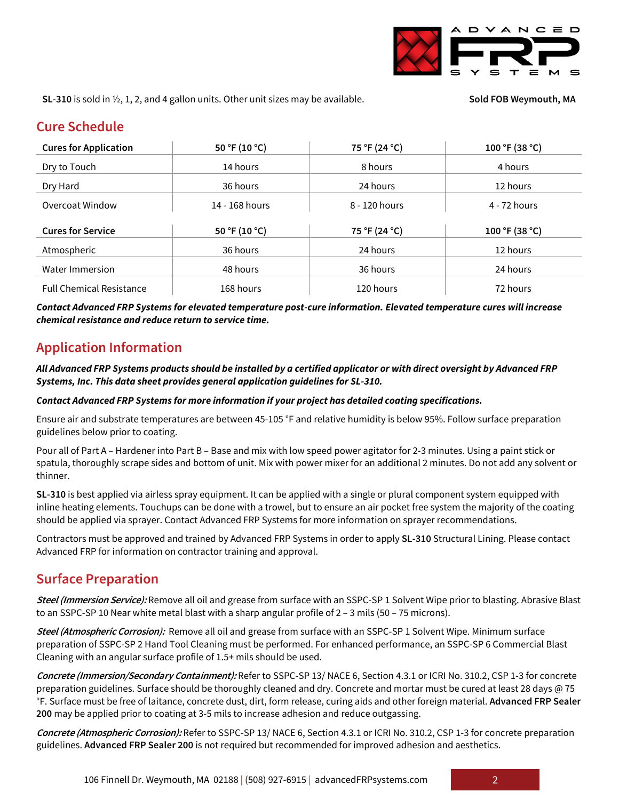

**SL-310** is sold in  $\frac{1}{2}$ , 1, 2, and 4 gallon units. Other unit sizes may be available. **Solumble Sold FOB Weymouth, MA** 

### **Cure Schedule**

| <b>Cures for Application</b>    | 50 °F (10 °C)  | 75 °F (24 °C) | 100 °F (38 °C) |
|---------------------------------|----------------|---------------|----------------|
| Dry to Touch                    | 14 hours       | 8 hours       | 4 hours        |
| Dry Hard                        | 36 hours       | 24 hours      | 12 hours       |
| Overcoat Window                 | 14 - 168 hours | 8 - 120 hours | 4 - 72 hours   |
| <b>Cures for Service</b>        | 50 °F (10 °C)  | 75 °F (24 °C) | 100 °F (38 °C) |
| Atmospheric                     | 36 hours       | 24 hours      | 12 hours       |
| Water Immersion                 | 48 hours       | 36 hours      | 24 hours       |
| <b>Full Chemical Resistance</b> | 168 hours      | 120 hours     | 72 hours       |

*Contact Advanced FRP Systems for elevated temperature post-cure information. Elevated temperature cures will increase chemical resistance and reduce return to service time.*

### **Application Information**

### *All Advanced FRP Systems products should be installed by a certified applicator or with direct oversight by Advanced FRP Systems, Inc. This data sheet provides general application guidelines for SL-310.*

#### *Contact Advanced FRP Systems for more information if your project has detailed coating specifications.*

Ensure air and substrate temperatures are between 45-105 °F and relative humidity is below 95%. Follow surface preparation guidelines below prior to coating.

Pour all of Part A – Hardener into Part B – Base and mix with low speed power agitator for 2-3 minutes. Using a paint stick or spatula, thoroughly scrape sides and bottom of unit. Mix with power mixer for an additional 2 minutes. Do not add any solvent or thinner.

**SL-310** is best applied via airless spray equipment. It can be applied with a single or plural component system equipped with inline heating elements. Touchups can be done with a trowel, but to ensure an air pocket free system the majority of the coating should be applied via sprayer. Contact Advanced FRP Systems for more information on sprayer recommendations.

Contractors must be approved and trained by Advanced FRP Systems in order to apply **SL-310** Structural Lining. Please contact Advanced FRP for information on contractor training and approval.

### **Surface Preparation**

**Steel (Immersion Service):** Remove all oil and grease from surface with an SSPC-SP 1 Solvent Wipe prior to blasting. Abrasive Blast to an SSPC-SP 10 Near white metal blast with a sharp angular profile of 2 – 3 mils (50 – 75 microns).

**Steel (Atmospheric Corrosion):** Remove all oil and grease from surface with an SSPC-SP 1 Solvent Wipe. Minimum surface preparation of SSPC-SP 2 Hand Tool Cleaning must be performed. For enhanced performance, an SSPC-SP 6 Commercial Blast Cleaning with an angular surface profile of 1.5+ mils should be used.

**Concrete (Immersion/Secondary Containment):** Refer to SSPC-SP 13/ NACE 6, Section 4.3.1 or ICRI No. 310.2, CSP 1-3 for concrete preparation guidelines. Surface should be thoroughly cleaned and dry. Concrete and mortar must be cured at least 28 days @ 75 °F. Surface must be free of laitance, concrete dust, dirt, form release, curing aids and other foreign material. **Advanced FRP Sealer 200** may be applied prior to coating at 3-5 mils to increase adhesion and reduce outgassing.

**Concrete (Atmospheric Corrosion):** Refer to SSPC-SP 13/ NACE 6, Section 4.3.1 or ICRI No. 310.2, CSP 1-3 for concrete preparation guidelines. **Advanced FRP Sealer 200** is not required but recommended for improved adhesion and aesthetics.